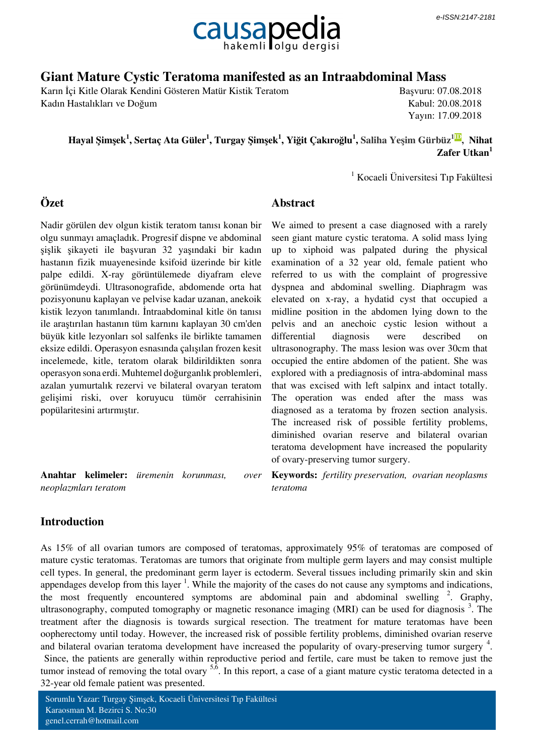

## **Giant Mature Cystic Teratoma manifested as an Intraabdominal Mass**

Karın İçi Kitle Olarak Kendini Gösteren Matür Kistik Teratom Kadın Hastalıkları ve Doğum

Başvuru: 07.08.2018 Kabul: 20.08.2018 Yayın: 17.09.2018

 **Hayal Şimşek<sup>1</sup> , Sertaç Ata Güler<sup>1</sup> , Turgay Şimşek<sup>1</sup> , Yiğit Çakıroğlu<sup>1</sup> , [Saliha Yeşim Gürbüz](http://orcid.org/0000-0000-0000-0000)[1ID](http://orcid.org/0000-0000-0000-0000) [,](http://orcid.org/0000-0000-0000-0000) Nihat Zafer Utkan<sup>1</sup>**

**Abstract**

1 Kocaeli Üniversitesi Tıp Fakültesi

## **Özet**

Nadir görülen dev olgun kistik teratom tanısı konan bir olgu sunmayı amaçladık. Progresif dispne ve abdominal şişlik şikayeti ile başvuran 32 yaşındaki bir kadın hastanın fizik muayenesinde ksifoid üzerinde bir kitle palpe edildi. X-ray görüntülemede diyafram eleve görünümdeydi. Ultrasonografide, abdomende orta hat pozisyonunu kaplayan ve pelvise kadar uzanan, anekoik kistik lezyon tanımlandı. İntraabdominal kitle ön tanısı ile araştırılan hastanın tüm karnını kaplayan 30 cm'den büyük kitle lezyonları sol salfenks ile birlikte tamamen eksize edildi. Operasyon esnasında çalışılan frozen kesit incelemede, kitle, teratom olarak bildirildikten sonra operasyon sona erdi. Muhtemel doğurganlık problemleri, azalan yumurtalık rezervi ve bilateral ovaryan teratom gelişimi riski, over koruyucu tümör cerrahisinin popülaritesini artırmıştır.

**Anahtar kelimeler:** *üremenin korunması, over neoplazmları teratom*

We aimed to present a case diagnosed with a rarely seen giant mature cystic teratoma. A solid mass lying up to xiphoid was palpated during the physical examination of a 32 year old, female patient who referred to us with the complaint of progressive dyspnea and abdominal swelling. Diaphragm was elevated on x-ray, a hydatid cyst that occupied a midline position in the abdomen lying down to the pelvis and an anechoic cystic lesion without a differential diagnosis were described on ultrasonography. The mass lesion was over 30cm that occupied the entire abdomen of the patient. She was explored with a prediagnosis of intra-abdominal mass that was excised with left salpinx and intact totally. The operation was ended after the mass was diagnosed as a teratoma by frozen section analysis. The increased risk of possible fertility problems, diminished ovarian reserve and bilateral ovarian teratoma development have increased the popularity of ovary-preserving tumor surgery.

**Keywords:** *fertility preservation, ovarian neoplasms teratoma*

## **Introduction**

As 15% of all ovarian tumors are composed of teratomas, approximately 95% of teratomas are composed of mature cystic teratomas. Teratomas are tumors that originate from multiple germ layers and may consist multiple cell types. In general, the predominant germ layer is ectoderm. Several tissues including primarily skin and skin appendages develop from this layer  $<sup>1</sup>$ . While the majority of the cases do not cause any symptoms and indications,</sup> the most frequently encountered symptoms are abdominal pain and abdominal swelling  $2$ . Graphy, ultrasonography, computed tomography or magnetic resonance imaging (MRI) can be used for diagnosis<sup>3</sup>. The treatment after the diagnosis is towards surgical resection. The treatment for mature teratomas have been oopherectomy until today. However, the increased risk of possible fertility problems, diminished ovarian reserve and bilateral ovarian teratoma development have increased the popularity of ovary-preserving tumor surgery  $4$ . Since, the patients are generally within reproductive period and fertile, care must be taken to remove just the tumor instead of removing the total ovary  $5\overline{6}$ . In this report, a case of a giant mature cystic teratoma detected in a

32-year old female patient was presented.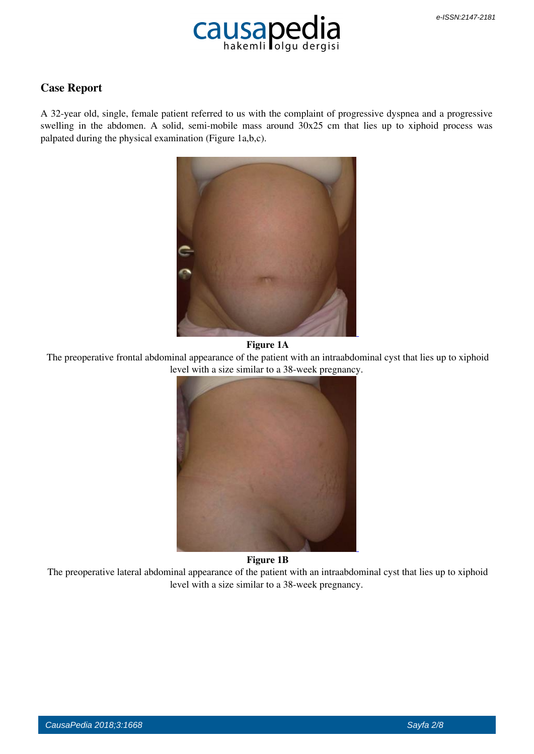

## **Case Report**

A 32-year old, single, female patient referred to us with the complaint of progressive dyspnea and a progressive swelling in the abdomen. A solid, semi-mobile mass around 30x25 cm that lies up to xiphoid process was palpated during the physical examination (Figure 1a,b,c).



#### **Figure 1A**

 The preoperative frontal abdominal appearance of the patient with an intraabdominal cyst that lies up to xiphoid level with a size similar to a 38-week pregnancy.



#### **Figure 1B**

 The preoperative lateral abdominal appearance of the patient with an intraabdominal cyst that lies up to xiphoid level with a size similar to a 38-week pregnancy.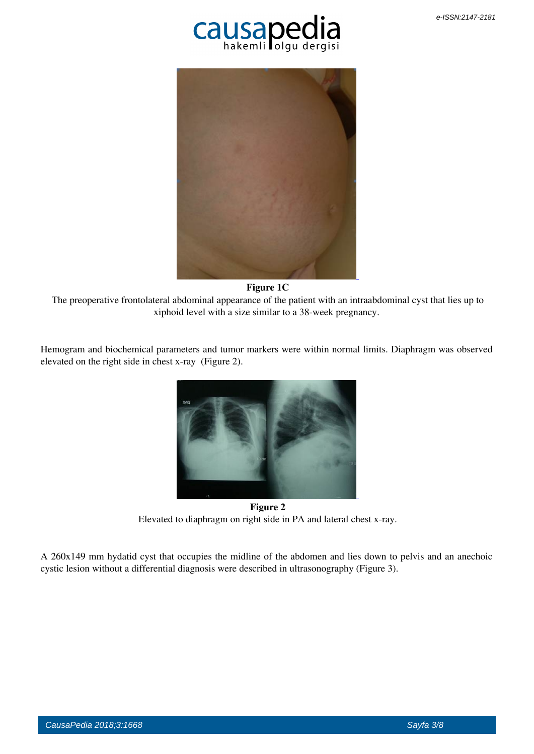



 **Figure 1C**

 The preoperative frontolateral abdominal appearance of the patient with an intraabdominal cyst that lies up to xiphoid level with a size similar to a 38-week pregnancy.

Hemogram and biochemical parameters and tumor markers were within normal limits. Diaphragm was observed elevated on the right side in chest x-ray (Figure 2).



 **Figure 2** Elevated to diaphragm on right side in PA and lateral chest x-ray.

A 260x149 mm hydatid cyst that occupies the midline of the abdomen and lies down to pelvis and an anechoic cystic lesion without a differential diagnosis were described in ultrasonography (Figure 3).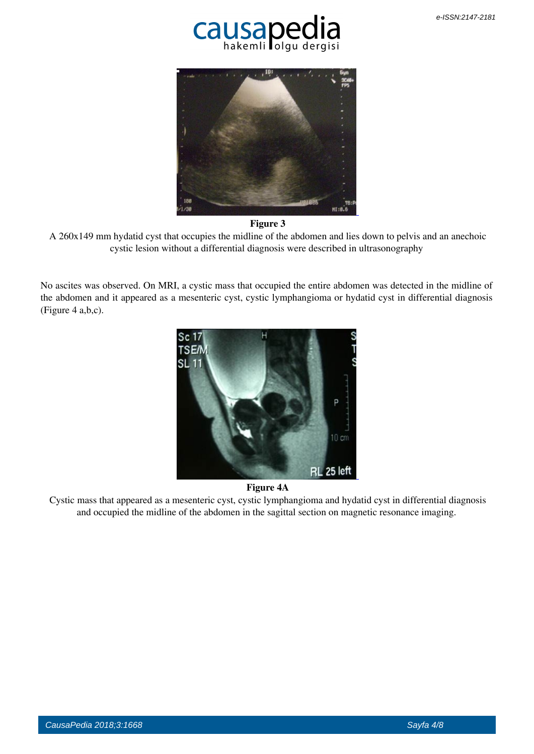



#### **Figure 3**

 A 260x149 mm hydatid cyst that occupies the midline of the abdomen and lies down to pelvis and an anechoic cystic lesion without a differential diagnosis were described in ultrasonography

No ascites was observed. On MRI, a cystic mass that occupied the entire abdomen was detected in the midline of the abdomen and it appeared as a mesenteric cyst, cystic lymphangioma or hydatid cyst in differential diagnosis (Figure 4 a,b,c).





 Cystic mass that appeared as a mesenteric cyst, cystic lymphangioma and hydatid cyst in differential diagnosis and occupied the midline of the abdomen in the sagittal section on magnetic resonance imaging.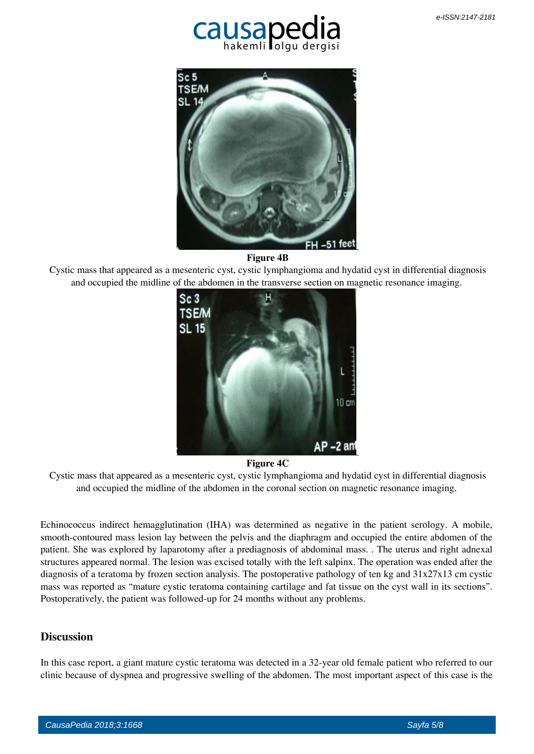



 **Figure 4B**

 Cystic mass that appeared as a mesenteric cyst, cystic lymphangioma and hydatid cyst in differential diagnosis and occupied the midline of the abdomen in the transverse section on magnetic resonance imaging.



#### **Figure 4C**

 Cystic mass that appeared as a mesenteric cyst, cystic lymphangioma and hydatid cyst in differential diagnosis and occupied the midline of the abdomen in the coronal section on magnetic resonance imaging.

Echinococcus indirect hemagglutination (IHA) was determined as negative in the patient serology. A mobile, smooth-contoured mass lesion lay between the pelvis and the diaphragm and occupied the entire abdomen of the patient. She was explored by laparotomy after a prediagnosis of abdominal mass. . The uterus and right adnexal structures appeared normal. The lesion was excised totally with the left salpinx. The operation was ended after the diagnosis of a teratoma by frozen section analysis. The postoperative pathology of ten kg and  $31x27x13$  cm cystic mass was reported as "mature cystic teratoma containing cartilage and fat tissue on the cyst wall in its sections". Postoperatively, the patient was followed-up for 24 months without any problems.

## **Discussion**

In this case report, a giant mature cystic teratoma was detected in a 32-year old female patient who referred to our clinic because of dyspnea and progressive swelling of the abdomen. The most important aspect of this case is the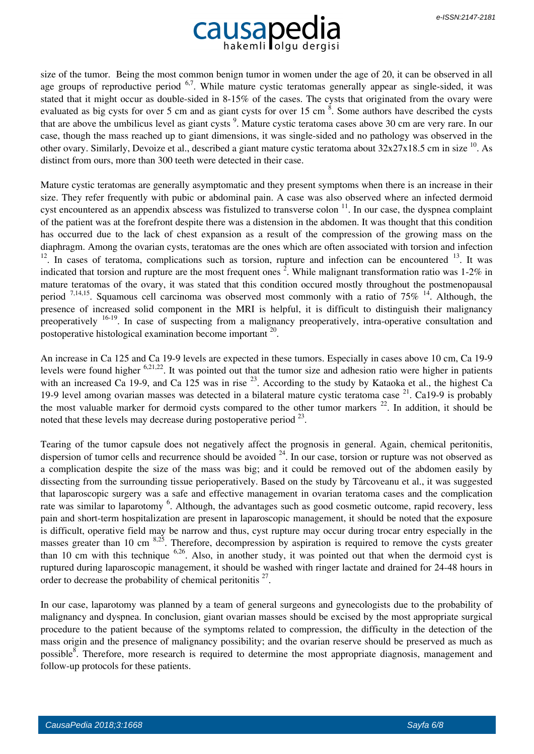# Causapedia

size of the tumor. Being the most common benign tumor in women under the age of 20, it can be observed in all age groups of reproductive period  $6.7$ . While mature cystic teratomas generally appear as single-sided, it was stated that it might occur as double-sided in 8-15% of the cases. The cysts that originated from the ovary were evaluated as big cysts for over 5 cm and as giant cysts for over 15 cm <sup>8</sup>. Some authors have described the cysts that are above the umbilicus level as giant cysts<sup>9</sup>. Mature cystic teratoma cases above 30 cm are very rare. In our case, though the mass reached up to giant dimensions, it was single-sided and no pathology was observed in the other ovary. Similarly, Devoize et al., described a giant mature cystic teratoma about 32x27x18.5 cm in size <sup>10</sup>. As distinct from ours, more than 300 teeth were detected in their case.

Mature cystic teratomas are generally asymptomatic and they present symptoms when there is an increase in their size. They refer frequently with pubic or abdominal pain. A case was also observed where an infected dermoid cyst encountered as an appendix abscess was fistulized to transverse colon  $11$ . In our case, the dyspnea complaint of the patient was at the forefront despite there was a distension in the abdomen. It was thought that this condition has occurred due to the lack of chest expansion as a result of the compression of the growing mass on the diaphragm. Among the ovarian cysts, teratomas are the ones which are often associated with torsion and infection  $12$ . In cases of teratoma, complications such as torsion, rupture and infection can be encountered  $13$ . It was indicated that torsion and rupture are the most frequent ones  $2$ . While malignant transformation ratio was 1-2% in mature teratomas of the ovary, it was stated that this condition occured mostly throughout the postmenopausal period  $7,14,15$ . Squamous cell carcinoma was observed most commonly with a ratio of  $75\%$  <sup>14</sup>. Although, the presence of increased solid component in the MRI is helpful, it is difficult to distinguish their malignancy preoperatively <sup>16-19</sup>. In case of suspecting from a malignancy preoperatively, intra-operative consultation and postoperative histological examination become important <sup>20</sup>.

An increase in Ca 125 and Ca 19-9 levels are expected in these tumors. Especially in cases above 10 cm, Ca 19-9 levels were found higher 6,21,22. It was pointed out that the tumor size and adhesion ratio were higher in patients with an increased Ca 19-9, and Ca 125 was in rise <sup>23</sup>. According to the study by Kataoka et al., the highest Ca 19-9 level among ovarian masses was detected in a bilateral mature cystic teratoma case <sup>21</sup>. Ca19-9 is probably the most valuable marker for dermoid cysts compared to the other tumor markers  $^{22}$ . In addition, it should be noted that these levels may decrease during postoperative period  $2<sup>3</sup>$ .

Tearing of the tumor capsule does not negatively affect the prognosis in general. Again, chemical peritonitis, dispersion of tumor cells and recurrence should be avoided  $24$ . In our case, torsion or rupture was not observed as a complication despite the size of the mass was big; and it could be removed out of the abdomen easily by dissecting from the surrounding tissue perioperatively. Based on the study by Târcoveanu et al., it was suggested that laparoscopic surgery was a safe and effective management in ovarian teratoma cases and the complication rate was similar to laparotomy <sup>6</sup>. Although, the advantages such as good cosmetic outcome, rapid recovery, less pain and short-term hospitalization are present in laparoscopic management, it should be noted that the exposure is difficult, operative field may be narrow and thus, cyst rupture may occur during trocar entry especially in the masses greater than 10 cm  $8,25$ . Therefore, decompression by aspiration is required to remove the cysts greater than 10 cm with this technique 6,26. Also, in another study, it was pointed out that when the dermoid cyst is ruptured during laparoscopic management, it should be washed with ringer lactate and drained for 24-48 hours in order to decrease the probability of chemical peritonitis  $2^7$ .

In our case, laparotomy was planned by a team of general surgeons and gynecologists due to the probability of malignancy and dyspnea. In conclusion, giant ovarian masses should be excised by the most appropriate surgical procedure to the patient because of the symptoms related to compression, the difficulty in the detection of the mass origin and the presence of malignancy possibility; and the ovarian reserve should be preserved as much as possible<sup>8</sup>. Therefore, more research is required to determine the most appropriate diagnosis, management and follow-up protocols for these patients.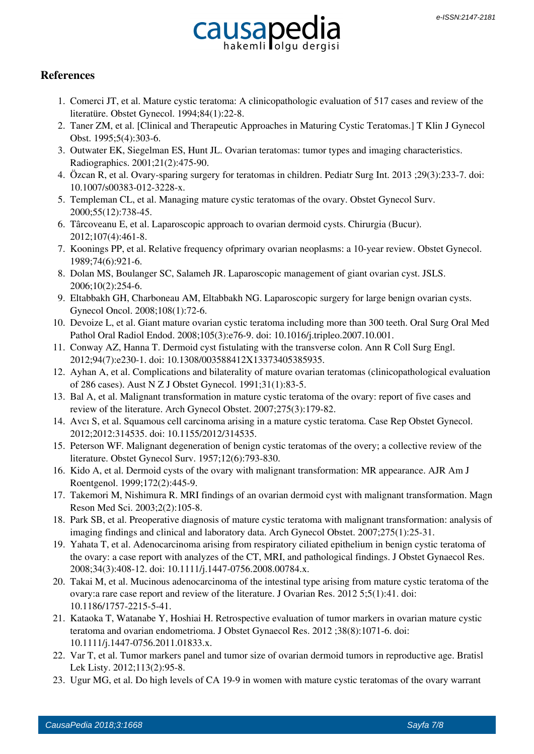

## **References**

- 1. Comerci JT, et al. Mature cystic teratoma: A clinicopathologic evaluation of 517 cases and review of the literatüre. Obstet Gynecol. 1994;84(1):22-8.
- 2. Taner ZM, et al. [Clinical and Therapeutic Approaches in Maturing Cystic Teratomas.] T Klin J Gynecol Obst. 1995;5(4):303-6.
- 3. Outwater EK, Siegelman ES, Hunt JL. Ovarian teratomas: tumor types and imaging characteristics. Radiographics. 2001;21(2):475-90.
- 4. Özcan R, et al. Ovary-sparing surgery for teratomas in children. Pediatr Surg Int. 2013 ;29(3):233-7. doi: 10.1007/s00383-012-3228-x.
- 5. Templeman CL, et al. Managing mature cystic teratomas of the ovary. Obstet Gynecol Surv. 2000;55(12):738-45.
- 6. Târcoveanu E, et al. Laparoscopic approach to ovarian dermoid cysts. Chirurgia (Bucur). 2012;107(4):461-8.
- 7. Koonings PP, et al. Relative frequency ofprimary ovarian neoplasms: a 10-year review. Obstet Gynecol. 1989;74(6):921-6.
- 8. Dolan MS, Boulanger SC, Salameh JR. Laparoscopic management of giant ovarian cyst. JSLS. 2006;10(2):254-6.
- 9. Eltabbakh GH, Charboneau AM, Eltabbakh NG. Laparoscopic surgery for large benign ovarian cysts. Gynecol Oncol. 2008;108(1):72-6.
- 10. Devoize L, et al. Giant mature ovarian cystic teratoma including more than 300 teeth. Oral Surg Oral Med Pathol Oral Radiol Endod. 2008;105(3):e76-9. doi: 10.1016/j.tripleo.2007.10.001.
- 11. Conway AZ, Hanna T. Dermoid cyst fistulating with the transverse colon. Ann R Coll Surg Engl. 2012;94(7):e230-1. doi: 10.1308/003588412X13373405385935.
- 12. Ayhan A, et al. Complications and bilaterality of mature ovarian teratomas (clinicopathological evaluation of 286 cases). Aust N Z J Obstet Gynecol. 1991;31(1):83-5.
- 13. Bal A, et al. Malignant transformation in mature cystic teratoma of the ovary: report of five cases and review of the literature. Arch Gynecol Obstet. 2007;275(3):179-82.
- 14. Avcı S, et al. Squamous cell carcinoma arising in a mature cystic teratoma. Case Rep Obstet Gynecol. 2012;2012:314535. doi: 10.1155/2012/314535.
- 15. Peterson WF. Malignant degeneration of benign cystic teratomas of the overy; a collective review of the literature. Obstet Gynecol Surv. 1957;12(6):793-830.
- 16. Kido A, et al. Dermoid cysts of the ovary with malignant transformation: MR appearance. AJR Am J Roentgenol. 1999;172(2):445-9.
- 17. Takemori M, Nishimura R. MRI findings of an ovarian dermoid cyst with malignant transformation. Magn Reson Med Sci. 2003;2(2):105-8.
- 18. Park SB, et al. Preoperative diagnosis of mature cystic teratoma with malignant transformation: analysis of imaging findings and clinical and laboratory data. Arch Gynecol Obstet. 2007;275(1):25-31.
- 19. Yahata T, et al. Adenocarcinoma arising from respiratory ciliated epithelium in benign cystic teratoma of the ovary: a case report with analyzes of the CT, MRI, and pathological findings. J Obstet Gynaecol Res. 2008;34(3):408-12. doi: 10.1111/j.1447-0756.2008.00784.x.
- 20. Takai M, et al. Mucinous adenocarcinoma of the intestinal type arising from mature cystic teratoma of the ovary:a rare case report and review of the literature. J Ovarian Res. 2012 5;5(1):41. doi: 10.1186/1757-2215-5-41.
- 21. Kataoka T, Watanabe Y, Hoshiai H. Retrospective evaluation of tumor markers in ovarian mature cystic teratoma and ovarian endometrioma. J Obstet Gynaecol Res. 2012 ;38(8):1071-6. doi: 10.1111/j.1447-0756.2011.01833.x.
- 22. Var T, et al. Tumor markers panel and tumor size of ovarian dermoid tumors in reproductive age. Bratisl Lek Listy. 2012;113(2):95-8.
- 23. Ugur MG, et al. Do high levels of CA 19-9 in women with mature cystic teratomas of the ovary warrant